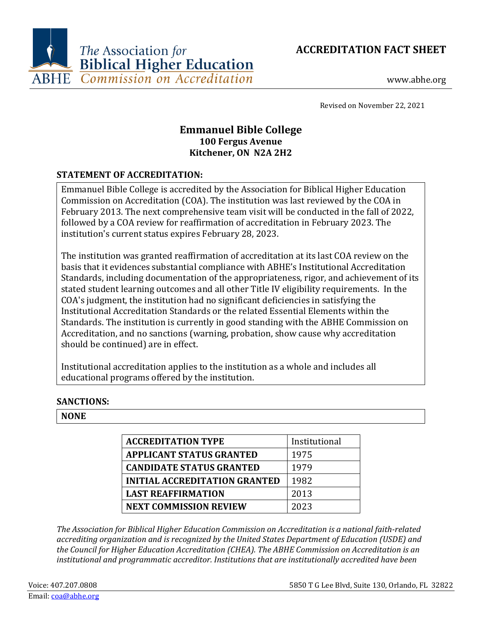



www.abhe.org

Revised on November 22, 2021

# **Emmanuel Bible College 100 Fergus Avenue Kitchener, ON N2A 2H2**

### **STATEMENT OF ACCREDITATION:**

Emmanuel Bible College is accredited by the Association for Biblical Higher Education Commission on Accreditation (COA). The institution was last reviewed by the COA in February 2013. The next comprehensive team visit will be conducted in the fall of 2022, followed by a COA review for reaffirmation of accreditation in February 2023. The institution's current status expires February 28, 2023.

The institution was granted reaffirmation of accreditation at its last COA review on the basis that it evidences substantial compliance with ABHE's Institutional Accreditation Standards, including documentation of the appropriateness, rigor, and achievement of its stated student learning outcomes and all other Title IV eligibility requirements. In the COA's judgment, the institution had no significant deficiencies in satisfying the Institutional Accreditation Standards or the related Essential Elements within the Standards. The institution is currently in good standing with the ABHE Commission on Accreditation, and no sanctions (warning, probation, show cause why accreditation should be continued) are in effect.

Institutional accreditation applies to the institution as a whole and includes all educational programs offered by the institution.

### **SANCTIONS:**

### **NONE**

| <b>ACCREDITATION TYPE</b>            | Institutional |
|--------------------------------------|---------------|
| <b>APPLICANT STATUS GRANTED</b>      | 1975          |
| <b>CANDIDATE STATUS GRANTED</b>      | 1979          |
| <b>INITIAL ACCREDITATION GRANTED</b> | 1982          |
| <b>LAST REAFFIRMATION</b>            | 2013          |
| <b>NEXT COMMISSION REVIEW</b>        | 2023          |

*The Association for Biblical Higher Education Commission on Accreditation is a national faith-related accrediting organization and is recognized by the United States Department of Education (USDE) and the Council for Higher Education Accreditation (CHEA). The ABHE Commission on Accreditation is an institutional and programmatic accreditor. Institutions that are institutionally accredited have been*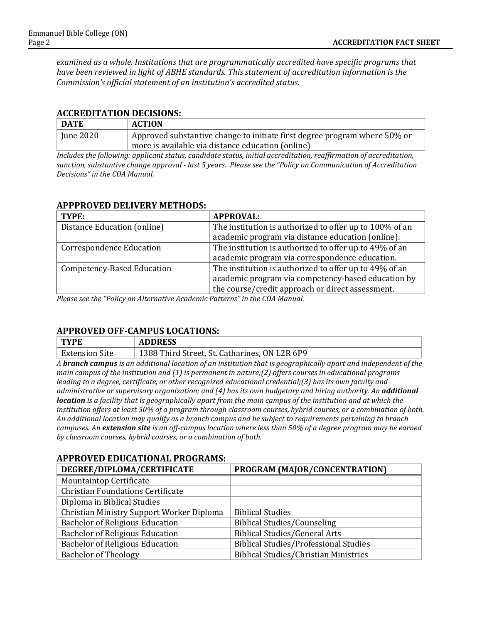*examined as a whole. Institutions that are programmatically accredited have specific programs that have been reviewed in light of ABHE standards. This statement of accreditation information is the Commission's official statement of an institution's accredited status.*

#### **ACCREDITATION DECISIONS:**

| <b>DATE</b> | <b>ACTION</b>                                                             |
|-------------|---------------------------------------------------------------------------|
| June 2020   | Approved substantive change to initiate first degree program where 50% or |
|             | more is available via distance education (online)                         |

*Includes the following: applicant status, candidate status, initial accreditation, reaffirmation of accreditation, sanction, substantive change approval - last 5 years. Please see the "Policy on Communication of Accreditation Decisions" in the COA Manual.*

#### **APPPROVED DELIVERY METHODS:**

| TYPE:                             | <b>APPROVAL:</b>                                        |
|-----------------------------------|---------------------------------------------------------|
| Distance Education (online)       | The institution is authorized to offer up to 100% of an |
|                                   | academic program via distance education (online).       |
| <b>Correspondence Education</b>   | The institution is authorized to offer up to 49% of an  |
|                                   | academic program via correspondence education.          |
| <b>Competency-Based Education</b> | The institution is authorized to offer up to 49% of an  |
|                                   | academic program via competency-based education by      |
|                                   | the course/credit approach or direct assessment.        |

*Please see the "Policy on Alternative Academic Patterns" in the COA Manual.*

#### **APPROVED OFF-CAMPUS LOCATIONS:**

| <b>TYPE</b>           | <b>ADDRESS</b>                                |
|-----------------------|-----------------------------------------------|
| <b>Extension Site</b> | 1388 Third Street, St. Catharines, ON L2R 6P9 |

*A branch campus is an additional location of an institution that is geographically apart and independent of the main campus of the institution and (1) is permanent in nature;(2) offers courses in educational programs leading to a degree, certificate, or other recognized educational credential;(3) has its own faculty and administrative or supervisory organization; and (4) has its own budgetary and hiring authority. An additional location is a facility that is geographically apart from the main campus of the institution and at which the institution offers at least 50% of a program through classroom courses, hybrid courses, or a combination of both. An additional location may qualify as a branch campus and be subject to requirements pertaining to branch campuses. An extension site is an off-campus location where less than 50% of a degree program may be earned by classroom courses, hybrid courses, or a combination of both.*

### **APPROVED EDUCATIONAL PROGRAMS:**

| DEGREE/DIPLOMA/CERTIFICATE                | PROGRAM (MAJOR/CONCENTRATION)                |
|-------------------------------------------|----------------------------------------------|
| <b>Mountaintop Certificate</b>            |                                              |
| <b>Christian Foundations Certificate</b>  |                                              |
| Diploma in Biblical Studies               |                                              |
| Christian Ministry Support Worker Diploma | <b>Biblical Studies</b>                      |
| <b>Bachelor of Religious Education</b>    | <b>Biblical Studies/Counseling</b>           |
| <b>Bachelor of Religious Education</b>    | Biblical Studies/General Arts                |
| <b>Bachelor of Religious Education</b>    | <b>Biblical Studies/Professional Studies</b> |
| <b>Bachelor of Theology</b>               | <b>Biblical Studies/Christian Ministries</b> |